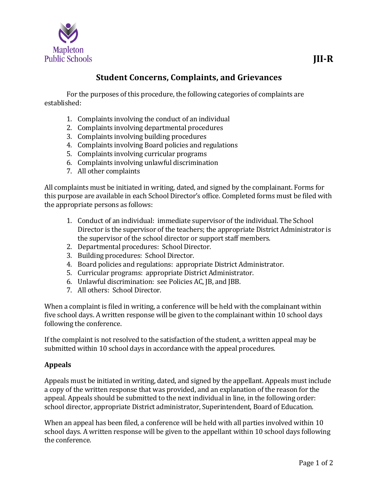

## **Student Concerns, Complaints, and Grievances**

For the purposes of this procedure, the following categories of complaints are established:

- 1. Complaints involving the conduct of an individual
- 2. Complaints involving departmental procedures
- 3. Complaints involving building procedures
- 4. Complaints involving Board policies and regulations
- 5. Complaints involving curricular programs
- 6. Complaints involving unlawful discrimination
- 7. All other complaints

All complaints must be initiated in writing, dated, and signed by the complainant. Forms for this purpose are available in each School Director's office. Completed forms must be filed with the appropriate persons as follows:

- 1. Conduct of an individual: immediate supervisor of the individual. The School Director is the supervisor of the teachers; the appropriate District Administrator is the supervisor of the school director or support staff members.
- 2. Departmental procedures: School Director.
- 3. Building procedures: School Director.
- 4. Board policies and regulations: appropriate District Administrator.
- 5. Curricular programs: appropriate District Administrator.
- 6. Unlawful discrimination: see Policies AC, JB, and JBB.
- 7. All others: School Director.

When a complaint is filed in writing, a conference will be held with the complainant within five school days. A written response will be given to the complainant within 10 school days following the conference.

If the complaint is not resolved to the satisfaction of the student, a written appeal may be submitted within 10 school days in accordance with the appeal procedures.

## **Appeals**

Appeals must be initiated in writing, dated, and signed by the appellant. Appeals must include a copy of the written response that was provided, and an explanation of the reason for the appeal. Appeals should be submitted to the next individual in line, in the following order: school director, appropriate District administrator, Superintendent, Board of Education.

When an appeal has been filed, a conference will be held with all parties involved within 10 school days. A written response will be given to the appellant within 10 school days following the conference.